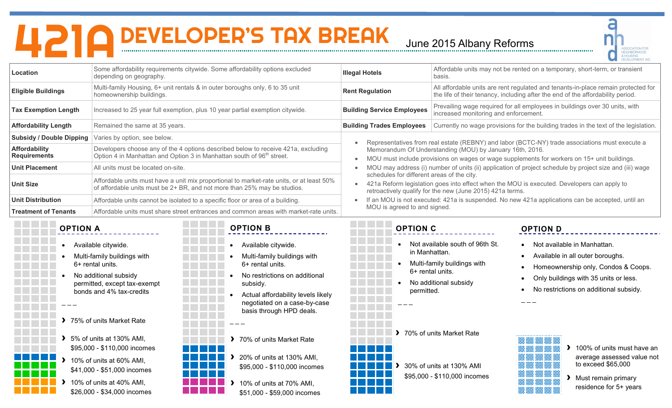## **421ADEVELOPER'S TAX BREAK June 2015 Albany Reforms**



|                                             |                                                                                                                                                             |                                                                                                                                                                                                                       |                                                                                                                                                                                                                                                                                                           |                                                                                                             | <b>DEVELOPMENT, INC</b>                                                                                                                                                                   |
|---------------------------------------------|-------------------------------------------------------------------------------------------------------------------------------------------------------------|-----------------------------------------------------------------------------------------------------------------------------------------------------------------------------------------------------------------------|-----------------------------------------------------------------------------------------------------------------------------------------------------------------------------------------------------------------------------------------------------------------------------------------------------------|-------------------------------------------------------------------------------------------------------------|-------------------------------------------------------------------------------------------------------------------------------------------------------------------------------------------|
| Location                                    | Some affordability requirements citywide. Some affordability options excluded<br>depending on geography.                                                    |                                                                                                                                                                                                                       | <b>Illegal Hotels</b>                                                                                                                                                                                                                                                                                     | basis.                                                                                                      | Affordable units may not be rented on a temporary, short-term, or transient                                                                                                               |
| <b>Eligible Buildings</b>                   | homeownership buildings.                                                                                                                                    | Multi-family Housing, 6+ unit rentals & in outer boroughs only, 6 to 35 unit                                                                                                                                          | <b>Rent Regulation</b>                                                                                                                                                                                                                                                                                    |                                                                                                             | All affordable units are rent regulated and tenants-in-place remain protected for<br>the life of their tenancy, including after the end of the affordability period.                      |
| <b>Tax Exemption Length</b>                 |                                                                                                                                                             | Increased to 25 year full exemption, plus 10 year partial exemption citywide.                                                                                                                                         | <b>Building Service Employees</b>                                                                                                                                                                                                                                                                         | increased monitoring and enforcement.                                                                       | Prevailing wage required for all employees in buildings over 30 units, with                                                                                                               |
| <b>Affordability Length</b>                 | Remained the same at 35 years.                                                                                                                              |                                                                                                                                                                                                                       | <b>Building Trades Employees</b>                                                                                                                                                                                                                                                                          |                                                                                                             | Currently no wage provisions for the building trades in the text of the legislation.                                                                                                      |
| <b>Subsidy / Double Dipping</b>             | Varies by option, see below.                                                                                                                                |                                                                                                                                                                                                                       |                                                                                                                                                                                                                                                                                                           |                                                                                                             |                                                                                                                                                                                           |
| <b>Affordability</b><br><b>Requirements</b> | Option 4 in Manhattan and Option 3 in Manhattan south of 96 <sup>th</sup> street.                                                                           | Developers choose any of the 4 options described below to receive 421a, excluding                                                                                                                                     | Representatives from real estate (REBNY) and labor (BCTC-NY) trade associations must execute a<br>Memorandum Of Understanding (MOU) by January 16th, 2016.<br>MOU must include provisions on wages or wage supplements for workers on 15+ unit buildings.                                                 |                                                                                                             |                                                                                                                                                                                           |
| <b>Unit Placement</b>                       | All units must be located on-site.                                                                                                                          |                                                                                                                                                                                                                       |                                                                                                                                                                                                                                                                                                           | MOU may address (i) number of units (ii) application of project schedule by project size and (iii) wage     |                                                                                                                                                                                           |
| <b>Unit Size</b>                            |                                                                                                                                                             | Affordable units must have a unit mix proportional to market-rate units, or at least 50%<br>of affordable units must be 2+ BR, and not more than 25% may be studios.                                                  | schedules for different areas of the city.<br>421a Reform legislation goes into effect when the MOU is executed. Developers can apply to<br>retroactively qualify for the new (June 2015) 421a terms.<br>If an MOU is not executed: 421a is suspended. No new 421a applications can be accepted, until an |                                                                                                             |                                                                                                                                                                                           |
| <b>Unit Distribution</b>                    |                                                                                                                                                             | Affordable units cannot be isolated to a specific floor or area of a building.                                                                                                                                        |                                                                                                                                                                                                                                                                                                           |                                                                                                             |                                                                                                                                                                                           |
| <b>Treatment of Tenants</b>                 |                                                                                                                                                             | Affordable units must share street entrances and common areas with market-rate units.                                                                                                                                 | MOU is agreed to and signed.                                                                                                                                                                                                                                                                              |                                                                                                             |                                                                                                                                                                                           |
| <b>OPTION A</b>                             |                                                                                                                                                             | <b>OPTION B</b>                                                                                                                                                                                                       | <b>OPTION C</b>                                                                                                                                                                                                                                                                                           |                                                                                                             | <b>OPTION D</b>                                                                                                                                                                           |
|                                             | Available citywide.<br>Multi-family buildings with<br>6+ rental units.<br>No additional subsidy<br>permitted, except tax-exempt<br>bonds and 4% tax-credits | Available citywide.<br>Multi-family buildings with<br>6+ rental units.<br>No restrictions on additional<br>subsidy.<br>Actual affordability levels likely<br>negotiated on a case-by-case<br>basis through HPD deals. | in Manhattan.<br>permitted.                                                                                                                                                                                                                                                                               | Not available south of 96th St.<br>Multi-family buildings with<br>6+ rental units.<br>No additional subsidy | Not available in Manhattan.<br>Available in all outer boroughs.<br>Homeownership only, Condos & Coops.<br>Only buildings with 35 units or less.<br>No restrictions on additional subsidy. |
|                                             | > 75% of units Market Rate                                                                                                                                  |                                                                                                                                                                                                                       |                                                                                                                                                                                                                                                                                                           |                                                                                                             |                                                                                                                                                                                           |
|                                             | 5% of units at 130% AMI,<br>\$95,000 - \$110,000 incomes<br>10% of units at 60% AMI,<br>\$41,000 - \$51,000 incomes                                         | > 70% of units Market Rate<br>20% of units at 130% AMI,<br>\$95,000 - \$110,000 incomes                                                                                                                               |                                                                                                                                                                                                                                                                                                           | 70% of units Market Rate<br>30% of units at 130% AMI                                                        | 100% of units must have an<br>average assessed value not<br>to exceed \$65,000                                                                                                            |
|                                             | 10% of units at 40% AMI,<br>\$26,000 - \$34,000 incomes                                                                                                     | 10% of units at 70% AMI,<br>\$51,000 - \$59,000 incomes                                                                                                                                                               |                                                                                                                                                                                                                                                                                                           | \$95,000 - \$110,000 incomes                                                                                | > Must remain primary<br>residence for 5+ years                                                                                                                                           |